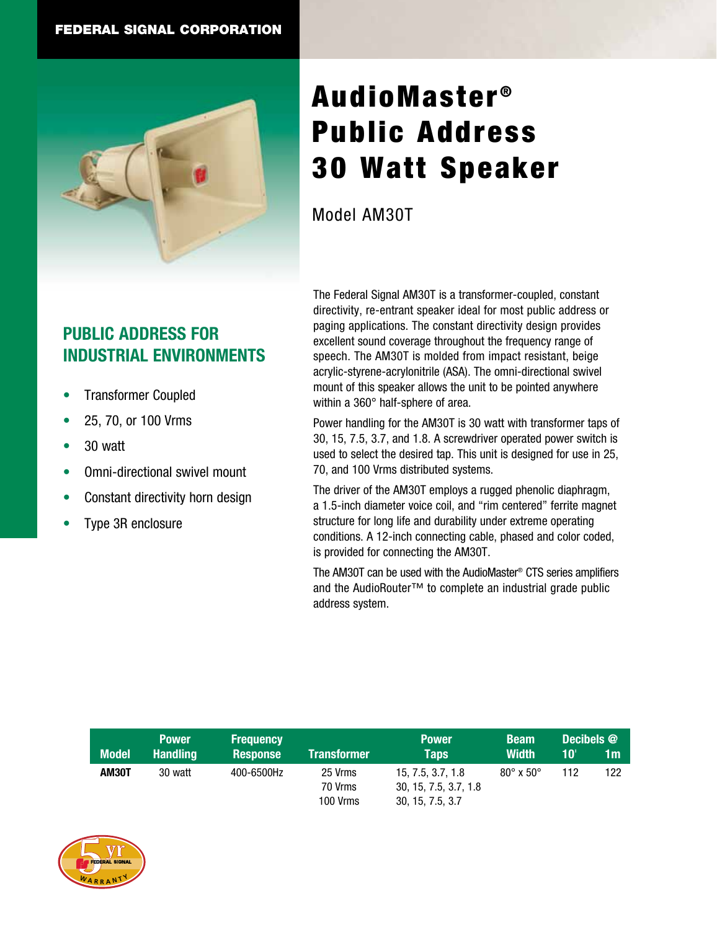

## AudioMaster<sup>®</sup> Public Address 30 Watt Speaker

Model AM30T

## **PUBLIC ADDRESS FOR INDUSTRIAL ENVIRONMENTS**

- **Transformer Coupled**
- 25, 70, or 100 Vrms
- 30 watt
- Omni-directional swivel mount
- Constant directivity horn design
- Type 3R enclosure

The Federal Signal AM30T is a transformer-coupled, constant directivity, re-entrant speaker ideal for most public address or paging applications. The constant directivity design provides excellent sound coverage throughout the frequency range of speech. The AM30T is molded from impact resistant, beige acrylic-styrene-acrylonitrile (ASA). The omni-directional swivel mount of this speaker allows the unit to be pointed anywhere within a 360° half-sphere of area.

Power handling for the AM30T is 30 watt with transformer taps of 30, 15, 7.5, 3.7, and 1.8. A screwdriver operated power switch is used to select the desired tap. This unit is designed for use in 25, 70, and 100 Vrms distributed systems.

The driver of the AM30T employs a rugged phenolic diaphragm, a 1.5-inch diameter voice coil, and "rim centered" ferrite magnet structure for long life and durability under extreme operating conditions. A 12-inch connecting cable, phased and color coded, is provided for connecting the AM30T.

The AM30T can be used with the AudioMaster® CTS series amplifiers and the AudioRouter™ to complete an industrial grade public address system.

| <b>Model</b> | <b>Power</b><br><b>Handling</b> | <b>Frequency</b><br><b>Response</b> | <b>Transformer</b>             | <b>Power</b><br><b>Taps</b>                                    | <b>Beam</b><br><b>Width</b> | Decibels @<br>10' | 1m. |
|--------------|---------------------------------|-------------------------------------|--------------------------------|----------------------------------------------------------------|-----------------------------|-------------------|-----|
| <b>AM30T</b> | 30 watt                         | 400-6500Hz                          | 25 Vrms<br>70 Vrms<br>100 Vrms | 15, 7.5, 3.7, 1.8<br>30, 15, 7.5, 3.7, 1.8<br>30, 15, 7.5, 3.7 | $80^\circ \times 50^\circ$  | 112               | 122 |